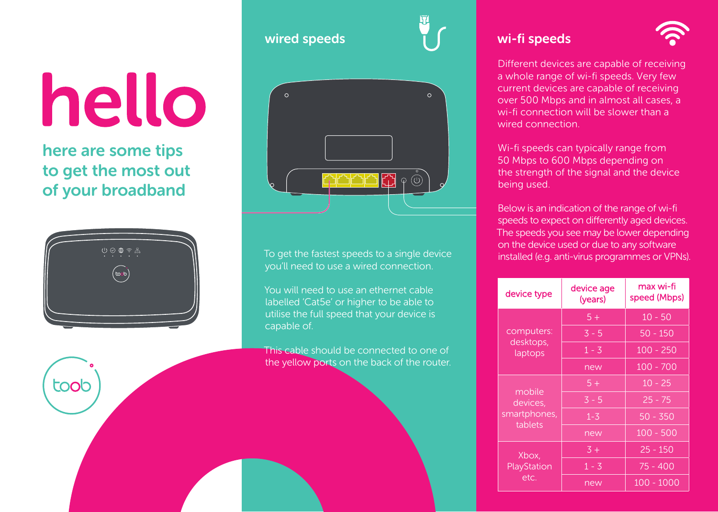# hello

here are some tips to get the most out of your broadband



toob





you'll need to use a wired connection.

You will need to use an ethernet cable labelled 'Cat5e' or higher to be able to utilise the full speed that your device is capable of.

This cable should be connected to one of the yellow ports on the back of the router.

## wi-fi speeds



Different devices are capable of receiving a whole range of wi-fi speeds. Very few current devices are capable of receiving over 500 Mbps and in almost all cases, a wi-fi connection will be slower than a wired connection.

Wi-fi speeds can typically range from 50 Mbps to 600 Mbps depending on the strength of the signal and the device being used.

Below is an indication of the range of wi-fi speeds to expect on differently aged devices. The speeds you see may be lower depending on the device used or due to any software To get the fastest speeds to a single device  $\frac{1}{1}$  installed (e.g. anti-virus programmes or VPNs).

| device type                                   | device age<br>(years) | max wi-fi<br>speed (Mbps) |
|-----------------------------------------------|-----------------------|---------------------------|
| computers:<br>desktops,<br>laptops            | $5+$                  | $10 - 50$                 |
|                                               | $3 - 5$               | $50 - 150$                |
|                                               | $1 - 3$               | $100 - 250$               |
|                                               | new                   | $100 - 700$               |
| mobile<br>devices,<br>smartphones,<br>tablets | $5+$                  | $10 - 25$                 |
|                                               | $3 - 5$               | $25 - 75$                 |
|                                               | $\overline{1}$ -3     | $50 - 350$                |
|                                               | new                   | $100 - 500$               |
| Xbox,<br>PlayStation<br>etc.                  | $\overline{3}$ +      | $25 - 150$                |
|                                               | $1 - 3$               | $75 - 400$                |
|                                               | new                   | $100 - 1000$              |